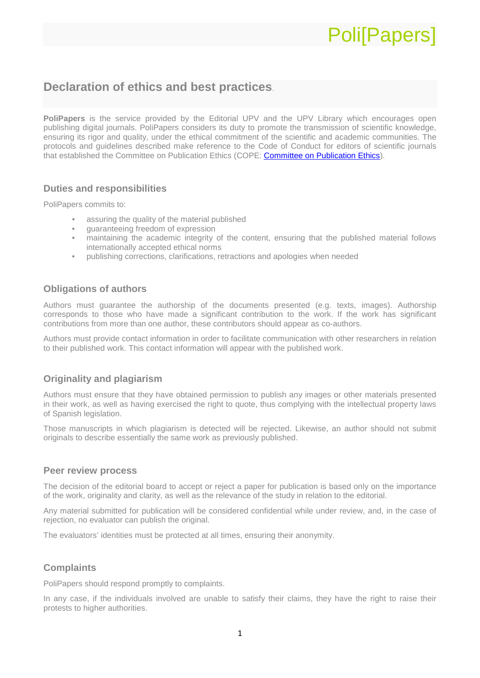# Poli<sup>[Papers]</sup>

### **Declaration of ethics and best practices**.

**PoliPapers** is the service provided by the Editorial UPV and the UPV Library which encourages open publishing digital journals. PoliPapers considers its duty to promote the transmission of scientific knowledge, ensuring its rigor and quality, under the ethical commitment of the scientific and academic communities. The protocols and guidelines described make reference to the Code of Conduct for editors of scientific journals that established the Committee on Publication Ethics (COPE: [Committee on Publication Ethics\)](http://publicationethics.org/).

#### **Duties and responsibilities**

PoliPapers commits to:

- assuring the quality of the material published
- guaranteeing freedom of expression
- maintaining the academic integrity of the content, ensuring that the published material follows internationally accepted ethical norms
- publishing corrections, clarifications, retractions and apologies when needed

#### **Obligations of authors**

Authors must guarantee the authorship of the documents presented (e.g. texts, images). Authorship corresponds to those who have made a significant contribution to the work. If the work has significant contributions from more than one author, these contributors should appear as co-authors.

Authors must provide contact information in order to facilitate communication with other researchers in relation to their published work. This contact information will appear with the published work.

#### **Originality and plagiarism**

Authors must ensure that they have obtained permission to publish any images or other materials presented in their work, as well as having exercised the right to quote, thus complying with the intellectual property laws of Spanish legislation.

Those manuscripts in which plagiarism is detected will be rejected. Likewise, an author should not submit originals to describe essentially the same work as previously published.

#### **Peer review process**

The decision of the editorial board to accept or reject a paper for publication is based only on the importance of the work, originality and clarity, as well as the relevance of the study in relation to the editorial.

Any material submitted for publication will be considered confidential while under review, and, in the case of rejection, no evaluator can publish the original.

The evaluators' identities must be protected at all times, ensuring their anonymity.

#### **Complaints**

PoliPapers should respond promptly to complaints.

In any case, if the individuals involved are unable to satisfy their claims, they have the right to raise their protests to higher authorities.